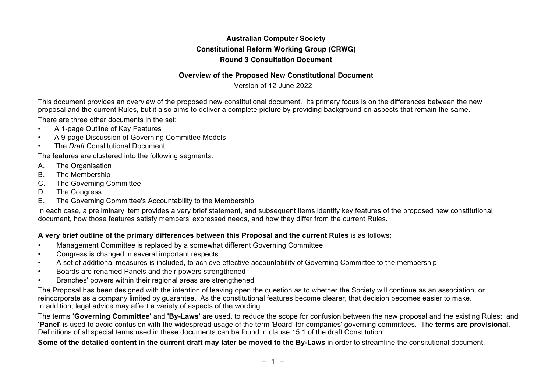## **Australian Computer Society Constitutional Reform Working Group (CRWG) Round 3 Consultation Document**

#### **Overview of the Proposed New Constitutional Document**

Version of 12 June 2022

This document provides an overview of the proposed new constitutional document. Its primary focus is on the differences between the new proposal and the current Rules, but it also aims to deliver a complete picture by providing background on aspects that remain the same.

There are three other documents in the set:

- A 1-page Outline of Key Features
- A 9-page Discussion of Governing Committee Models
- The *Draft* Constitutional Document

The features are clustered into the following segments:

- A. The Organisation
- B. The Membership
- C. The Governing Committee
- D. The Congress
- E. The Governing Committee's Accountability to the Membership

In each case, a preliminary item provides a very brief statement, and subsequent items identify key features of the proposed new constitutional document, how those features satisfy members' expressed needs, and how they differ from the current Rules.

#### **A very brief outline of the primary differences between this Proposal and the current Rules** is as follows:

- Management Committee is replaced by a somewhat different Governing Committee
- Congress is changed in several important respects
- A set of additional measures is included, to achieve effective accountability of Governing Committee to the membership
- Boards are renamed Panels and their powers strengthened
- Branches' powers within their regional areas are strengthened

The Proposal has been designed with the intention of leaving open the question as to whether the Society will continue as an association, or reincorporate as a company limited by guarantee. As the constitutional features become clearer, that decision becomes easier to make. In addition, legal advice may affect a variety of aspects of the wording.

The terms **'Governing Committee'** and **'By-Laws'** are used, to reduce the scope for confusion between the new proposal and the existing Rules; and **'Panel'** is used to avoid confusion with the widespread usage of the term 'Board' for companies' governing committees. The **terms are provisional**. Definitions of all special terms used in these documents can be found in clause 15.1 of the draft Constitution.

**Some of the detailed content in the current draft may later be moved to the By-Laws** in order to streamline the consitutional document.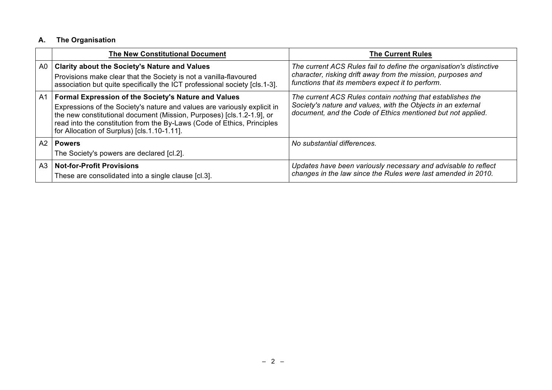# **A. The Organisation**

|                | <b>The New Constitutional Document</b>                                                                                                                                                                                                                                                                                                     | <b>The Current Rules</b>                                                                                                                                                                  |
|----------------|--------------------------------------------------------------------------------------------------------------------------------------------------------------------------------------------------------------------------------------------------------------------------------------------------------------------------------------------|-------------------------------------------------------------------------------------------------------------------------------------------------------------------------------------------|
| A <sub>0</sub> | <b>Clarity about the Society's Nature and Values</b><br>Provisions make clear that the Society is not a vanilla-flavoured<br>association but quite specifically the ICT professional society [cls.1-3].                                                                                                                                    | The current ACS Rules fail to define the organisation's distinctive<br>character, risking drift away from the mission, purposes and<br>functions that its members expect it to perform.   |
| A <sub>1</sub> | <b>Formal Expression of the Society's Nature and Values</b><br>Expressions of the Society's nature and values are variously explicit in<br>the new constitutional document (Mission, Purposes) [cls.1.2-1.9], or<br>read into the constitution from the By-Laws (Code of Ethics, Principles<br>for Allocation of Surplus) [cls.1.10-1.11]. | The current ACS Rules contain nothing that establishes the<br>Society's nature and values, with the Objects in an external<br>document, and the Code of Ethics mentioned but not applied. |
|                | A <sub>2</sub>   Powers<br>The Society's powers are declared [cl.2].                                                                                                                                                                                                                                                                       | No substantial differences.                                                                                                                                                               |
| A3             | <b>Not-for-Profit Provisions</b><br>These are consolidated into a single clause [cl.3].                                                                                                                                                                                                                                                    | Updates have been variously necessary and advisable to reflect<br>changes in the law since the Rules were last amended in 2010.                                                           |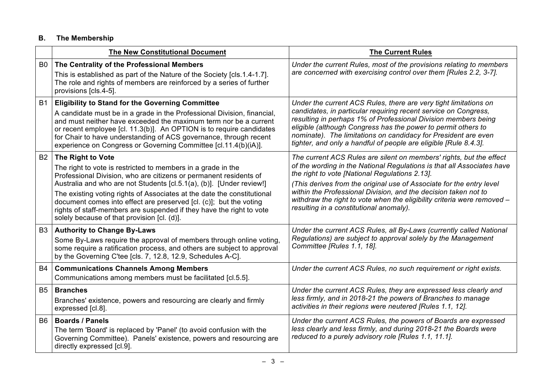## **B. The Membership**

|                | <b>The New Constitutional Document</b>                                                                                                                                                                                                                                                                                                                                                                                                                                                                 | <b>The Current Rules</b>                                                                                                                                                                                                                                                                                                                                                                                                                                         |
|----------------|--------------------------------------------------------------------------------------------------------------------------------------------------------------------------------------------------------------------------------------------------------------------------------------------------------------------------------------------------------------------------------------------------------------------------------------------------------------------------------------------------------|------------------------------------------------------------------------------------------------------------------------------------------------------------------------------------------------------------------------------------------------------------------------------------------------------------------------------------------------------------------------------------------------------------------------------------------------------------------|
| B <sub>0</sub> | The Centrality of the Professional Members<br>This is established as part of the Nature of the Society [cls.1.4-1.7].<br>The role and rights of members are reinforced by a series of further<br>provisions [cls.4-5].                                                                                                                                                                                                                                                                                 | Under the current Rules, most of the provisions relating to members<br>are concerned with exercising control over them [Rules 2.2, 3-7].                                                                                                                                                                                                                                                                                                                         |
| <b>B1</b>      | <b>Eligibility to Stand for the Governing Committee</b><br>A candidate must be in a grade in the Professional Division, financial,<br>and must neither have exceeded the maximum term nor be a current<br>or recent employee [cl. 11.3(b)]. An OPTION is to require candidates<br>for Chair to have understanding of ACS governance, through recent<br>experience on Congress or Governing Committee [cl.11.4(b)(iA)].                                                                                 | Under the current ACS Rules, there are very tight limitations on<br>candidates, in particular requiring recent service on Congress,<br>resulting in perhaps 1% of Professional Division members being<br>eligible (although Congress has the power to permit others to<br>nominate). The limitations on candidacy for President are even<br>tighter, and only a handful of people are eligible [Rule 8.4.3].                                                     |
| <b>B2</b>      | The Right to Vote<br>The right to vote is restricted to members in a grade in the<br>Professional Division, who are citizens or permanent residents of<br>Australia and who are not Students [cl.5.1(a), (b)]. [Under review!]<br>The existing voting rights of Associates at the date the constitutional<br>document comes into effect are preserved [cl. (c)]; but the voting<br>rights of staff-members are suspended if they have the right to vote<br>solely because of that provision [cl. (d)]. | The current ACS Rules are silent on members' rights, but the effect<br>of the wording in the National Regulations is that all Associates have<br>the right to vote [National Regulations 2.13].<br>(This derives from the original use of Associate for the entry level<br>within the Professional Division, and the decision taken not to<br>withdraw the right to vote when the eligibility criteria were removed -<br>resulting in a constitutional anomaly). |
| B <sub>3</sub> | <b>Authority to Change By-Laws</b><br>Some By-Laws require the approval of members through online voting,<br>some require a ratification process, and others are subject to approval<br>by the Governing C'tee [cls. 7, 12.8, 12.9, Schedules A-C].                                                                                                                                                                                                                                                    | Under the current ACS Rules, all By-Laws (currently called National<br>Regulations) are subject to approval solely by the Management<br>Committee [Rules 1.1, 18].                                                                                                                                                                                                                                                                                               |
| B4             | <b>Communications Channels Among Members</b><br>Communications among members must be facilitated [cl.5.5].                                                                                                                                                                                                                                                                                                                                                                                             | Under the current ACS Rules, no such requirement or right exists.                                                                                                                                                                                                                                                                                                                                                                                                |
|                | <b>B5 Branches</b><br>Branches' existence, powers and resourcing are clearly and firmly<br>expressed [cl.8].                                                                                                                                                                                                                                                                                                                                                                                           | Under the current ACS Rules, they are expressed less clearly and<br>less firmly, and in 2018-21 the powers of Branches to manage<br>activities in their regions were neutered [Rules 1.1, 12].                                                                                                                                                                                                                                                                   |
| B <sub>6</sub> | <b>Boards / Panels</b><br>The term 'Board' is replaced by 'Panel' (to avoid confusion with the<br>Governing Committee). Panels' existence, powers and resourcing are<br>directly expressed [cl.9].                                                                                                                                                                                                                                                                                                     | Under the current ACS Rules, the powers of Boards are expressed<br>less clearly and less firmly, and during 2018-21 the Boards were<br>reduced to a purely advisory role [Rules 1.1, 11.1].                                                                                                                                                                                                                                                                      |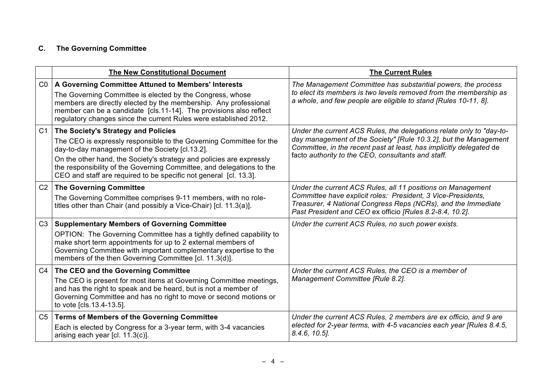# **C. The Governing Committee**

|                | <b>The New Constitutional Document</b>                                                                                                                                                                                                                                                                                                                                              | <b>The Current Rules</b>                                                                                                                                                                                                                                              |
|----------------|-------------------------------------------------------------------------------------------------------------------------------------------------------------------------------------------------------------------------------------------------------------------------------------------------------------------------------------------------------------------------------------|-----------------------------------------------------------------------------------------------------------------------------------------------------------------------------------------------------------------------------------------------------------------------|
| CO             | A Governing Committee Attuned to Members' Interests<br>The Governing Committee is elected by the Congress, whose<br>members are directly elected by the membership. Any professional<br>member can be a candidate [cls.11-14]. The provisions also reflect<br>regulatory changes since the current Rules were established 2012.                                                     | The Management Committee has substantial powers, the process<br>to elect its members is two levels removed from the membership as<br>a whole, and few people are eligible to stand [Rules 10-11, 8].                                                                  |
| C <sub>1</sub> | The Society's Strategy and Policies<br>The CEO is expressly responsible to the Governing Committee for the<br>day-to-day management of the Society [cl.13.2].<br>On the other hand, the Society's strategy and policies are expressly<br>the responsibility of the Governing Committee, and delegations to the<br>CEO and staff are required to be specific not general [cl. 13.3]. | Under the current ACS Rules, the delegations relate only to "day-to-<br>day management of the Society" [Rule 10.3.2], but the Management<br>Committee, in the recent past at least, has implicitly delegated de<br>facto authority to the CEO, consultants and staff. |
| C <sub>2</sub> | <b>The Governing Committee</b><br>The Governing Committee comprises 9-11 members, with no role-<br>titles other than Chair (and possibly a Vice-Chair) [cl. 11.3(a)].                                                                                                                                                                                                               | Under the current ACS Rules, all 11 positions on Management<br>Committee have explicit roles: President, 3 Vice-Presidents,<br>Treasurer, 4 National Congress Reps (NCRs), and the Immediate<br>Past President and CEO ex officio [Rules 8.2-8.4, 10.2].              |
| C <sub>3</sub> | <b>Supplementary Members of Governing Committee</b><br>OPTION: The Governing Committee has a tightly defined capability to<br>make short term appointments for up to 2 external members of<br>Governing Committee with important complementary expertise to the<br>members of the then Governing Committee [cl. 11.3(d)].                                                           | Under the current ACS Rules, no such power exists.                                                                                                                                                                                                                    |
| C <sub>4</sub> | The CEO and the Governing Committee<br>The CEO is present for most items at Governing Committee meetings,<br>and has the right to speak and be heard, but is not a member of<br>Governing Committee and has no right to move or second motions or<br>to vote [cls.13.4-13.5].                                                                                                       | Under the current ACS Rules, the CEO is a member of<br>Management Committee [Rule 8.2].                                                                                                                                                                               |
| C <sub>5</sub> | <b>Terms of Members of the Governing Committee</b><br>Each is elected by Congress for a 3-year term, with 3-4 vacancies<br>arising each year [cl. 11.3(c)].                                                                                                                                                                                                                         | Under the current ACS Rules, 2 members are ex officio, and 9 are<br>elected for 2-year terms, with 4-5 vacancies each year [Rules 8.4.5,<br>$8.4.6, 10.5$ ].                                                                                                          |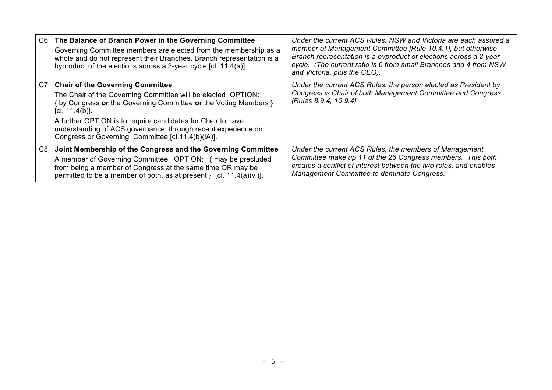| C <sub>6</sub> | The Balance of Branch Power in the Governing Committee<br>Governing Committee members are elected from the membership as a<br>whole and do not represent their Branches. Branch representation is a<br>byproduct of the elections across a 3-year cycle [cl. 11.4(a)]. | Under the current ACS Rules, NSW and Victoria are each assured a<br>member of Management Committee [Rule 10.4.1], but otherwise<br>Branch representation is a byproduct of elections across a 2-year<br>cycle. (The current ratio is 6 from small Branches and 4 from NSW<br>and Victoria, plus the CEO). |
|----------------|------------------------------------------------------------------------------------------------------------------------------------------------------------------------------------------------------------------------------------------------------------------------|-----------------------------------------------------------------------------------------------------------------------------------------------------------------------------------------------------------------------------------------------------------------------------------------------------------|
| C7             | <b>Chair of the Governing Committee</b>                                                                                                                                                                                                                                | Under the current ACS Rules, the person elected as President by                                                                                                                                                                                                                                           |
|                | The Chair of the Governing Committee will be elected OPTION:<br>{ by Congress or the Governing Committee or the Voting Members }<br>[cl. $11.4(b)$ ].                                                                                                                  | Congress is Chair of both Management Committee and Congress<br>[Rules 8.9.4, 10.9.4].                                                                                                                                                                                                                     |
|                | A further OPTION is to require candidates for Chair to have<br>understanding of ACS governance, through recent experience on<br>Congress or Governing Committee [cl.11.4(b)(iA)].                                                                                      |                                                                                                                                                                                                                                                                                                           |
| C <sub>8</sub> | Joint Membership of the Congress and the Governing Committee                                                                                                                                                                                                           | Under the current ACS Rules, the members of Management                                                                                                                                                                                                                                                    |
|                | A member of Governing Committee OPTION: { may be precluded<br>from being a member of Congress at the same time OR may be<br>permitted to be a member of both, as at present $\}$ [cl. 11.4(a)(vi)].                                                                    | Committee make up 11 of the 26 Congress members. This both<br>creates a conflict of interest between the two roles, and enables<br>Management Committee to dominate Congress.                                                                                                                             |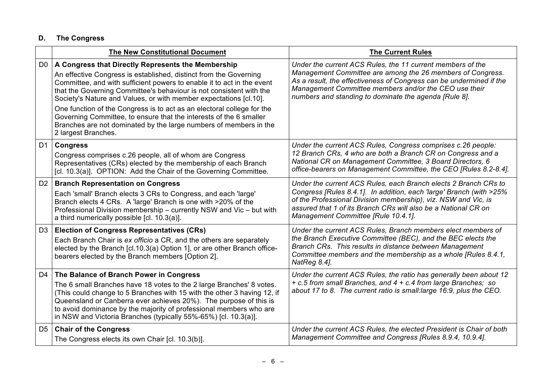# **D. The Congress**

|                | <b>The New Constitutional Document</b>                                                                                                                                                                                                                                                                                                                                                                                                                                                                                                                                                    | <b>The Current Rules</b>                                                                                                                                                                                                                                                                                          |
|----------------|-------------------------------------------------------------------------------------------------------------------------------------------------------------------------------------------------------------------------------------------------------------------------------------------------------------------------------------------------------------------------------------------------------------------------------------------------------------------------------------------------------------------------------------------------------------------------------------------|-------------------------------------------------------------------------------------------------------------------------------------------------------------------------------------------------------------------------------------------------------------------------------------------------------------------|
| D <sub>0</sub> | A Congress that Directly Represents the Membership<br>An effective Congress is established, distinct from the Governing<br>Committee, and with sufficient powers to enable it to act in the event<br>that the Governing Committee's behaviour is not consistent with the<br>Society's Nature and Values, or with member expectations [cl.10].<br>One function of the Congress is to act as an electoral college for the<br>Governing Committee, to ensure that the interests of the 6 smaller<br>Branches are not dominated by the large numbers of members in the<br>2 largest Branches. | Under the current ACS Rules, the 11 current members of the<br>Management Committee are among the 26 members of Congress.<br>As a result, the effectiveness of Congress can be undermined if the<br>Management Committee members and/or the CEO use their<br>numbers and standing to dominate the agenda [Rule 8]. |
|                | D1   Congress<br>Congress comprises c.26 people, all of whom are Congress<br>Representatives (CRs) elected by the membership of each Branch<br>[cl. 10.3(a)]. OPTION: Add the Chair of the Governing Committee.                                                                                                                                                                                                                                                                                                                                                                           | Under the current ACS Rules, Congress comprises c.26 people:<br>12 Branch CRs, 4 who are both a Branch CR on Congress and a<br>National CR on Management Committee, 3 Board Directors, 6<br>office-bearers on Management Committee, the CEO [Rules 8.2-8.4].                                                      |
|                | D2   Branch Representation on Congress<br>Each 'small' Branch elects 3 CRs to Congress, and each 'large'<br>Branch elects 4 CRs. A 'large' Branch is one with >20% of the<br>Professional Division membership - currently NSW and Vic - but with<br>a third numerically possible [cl. 10.3(a)].                                                                                                                                                                                                                                                                                           | Under the current ACS Rules, each Branch elects 2 Branch CRs to<br>Congress [Rules 8.4.1]. In addition, each 'large' Branch (with >25%<br>of the Professional Division membership), viz. NSW and Vic, is<br>assured that 1 of its Branch CRs will also be a National CR on<br>Management Committee [Rule 10.4.1]. |
| D <sub>3</sub> | <b>Election of Congress Representatives (CRs)</b><br>Each Branch Chair is ex officio a CR, and the others are separately<br>elected by the Branch [cl.10.3(a) Option 1], or are other Branch office-<br>bearers elected by the Branch members [Option 2].                                                                                                                                                                                                                                                                                                                                 | Under the current ACS Rules, Branch members elect members of<br>the Branch Executive Committee (BEC), and the BEC elects the<br>Branch CRs. This results in distance between Management<br>Committee members and the membership as a whole [Rules 8.4.1,<br>NatReg 8.4].                                          |
| D4             | The Balance of Branch Power in Congress<br>The 6 small Branches have 18 votes to the 2 large Branches' 8 votes.<br>(This could change to 5 Branches with 15 with the other 3 having 12, if<br>Queensland or Canberra ever achieves 20%). The purpose of this is<br>to avoid dominance by the majority of professional members who are<br>in NSW and Victoria Branches (typically 55%-65%) [cl. 10.3(a)].                                                                                                                                                                                  | Under the current ACS Rules, the ratio has generally been about 12<br>+ c.5 from small Branches, and 4 + c.4 from large Branches; so<br>about 17 to 8. The current ratio is small: large 16:9, plus the CEO.                                                                                                      |
| D <sub>5</sub> | <b>Chair of the Congress</b><br>The Congress elects its own Chair [cl. 10.3(b)].                                                                                                                                                                                                                                                                                                                                                                                                                                                                                                          | Under the current ACS Rules, the elected President is Chair of both<br>Management Committee and Congress [Rules 8.9.4, 10.9.4].                                                                                                                                                                                   |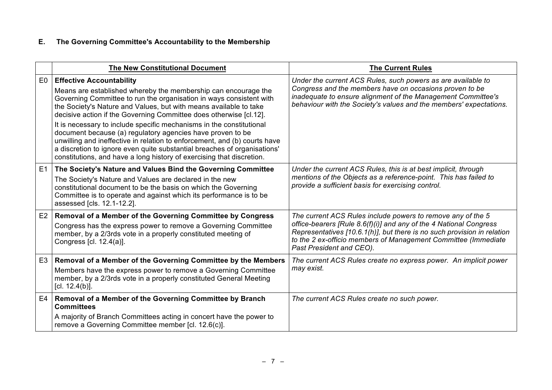# **E. The Governing Committee's Accountability to the Membership**

|    | <b>The New Constitutional Document</b>                                                                                                                                                                                                                                                                                                                                                                                                                                                                                                                                                                                                                                                      | <b>The Current Rules</b>                                                                                                                                                                                                                                                                                   |
|----|---------------------------------------------------------------------------------------------------------------------------------------------------------------------------------------------------------------------------------------------------------------------------------------------------------------------------------------------------------------------------------------------------------------------------------------------------------------------------------------------------------------------------------------------------------------------------------------------------------------------------------------------------------------------------------------------|------------------------------------------------------------------------------------------------------------------------------------------------------------------------------------------------------------------------------------------------------------------------------------------------------------|
| E0 | <b>Effective Accountability</b><br>Means are established whereby the membership can encourage the<br>Governing Committee to run the organisation in ways consistent with<br>the Society's Nature and Values, but with means available to take<br>decisive action if the Governing Committee does otherwise [cl.12].<br>It is necessary to include specific mechanisms in the constitutional<br>document because (a) regulatory agencies have proven to be<br>unwilling and ineffective in relation to enforcement, and (b) courts have<br>a discretion to ignore even quite substantial breaches of organisations'<br>constitutions, and have a long history of exercising that discretion. | Under the current ACS Rules, such powers as are available to<br>Congress and the members have on occasions proven to be<br>inadequate to ensure alignment of the Management Committee's<br>behaviour with the Society's values and the members' expectations.                                              |
| E1 | The Society's Nature and Values Bind the Governing Committee<br>The Society's Nature and Values are declared in the new<br>constitutional document to be the basis on which the Governing<br>Committee is to operate and against which its performance is to be<br>assessed [cls. 12.1-12.2].                                                                                                                                                                                                                                                                                                                                                                                               | Under the current ACS Rules, this is at best implicit, through<br>mentions of the Objects as a reference-point. This has failed to<br>provide a sufficient basis for exercising control.                                                                                                                   |
|    | E2   Removal of a Member of the Governing Committee by Congress<br>Congress has the express power to remove a Governing Committee<br>member, by a 2/3rds vote in a properly constituted meeting of<br>Congress [cl. 12.4(a)].                                                                                                                                                                                                                                                                                                                                                                                                                                                               | The current ACS Rules include powers to remove any of the 5<br>office-bearers [Rule 8.6(f)(i)] and any of the 4 National Congress<br>Representatives [10.6.1(h)], but there is no such provision in relation<br>to the 2 ex-officio members of Management Committee (Immediate<br>Past President and CEO). |
|    | E3   Removal of a Member of the Governing Committee by the Members<br>Members have the express power to remove a Governing Committee<br>member, by a 2/3rds vote in a properly constituted General Meeting<br>[cl. $12.4(b)$ ].                                                                                                                                                                                                                                                                                                                                                                                                                                                             | The current ACS Rules create no express power. An implicit power<br>may exist.                                                                                                                                                                                                                             |
|    | E4   Removal of a Member of the Governing Committee by Branch<br><b>Committees</b><br>A majority of Branch Committees acting in concert have the power to<br>remove a Governing Committee member [cl. 12.6(c)].                                                                                                                                                                                                                                                                                                                                                                                                                                                                             | The current ACS Rules create no such power.                                                                                                                                                                                                                                                                |